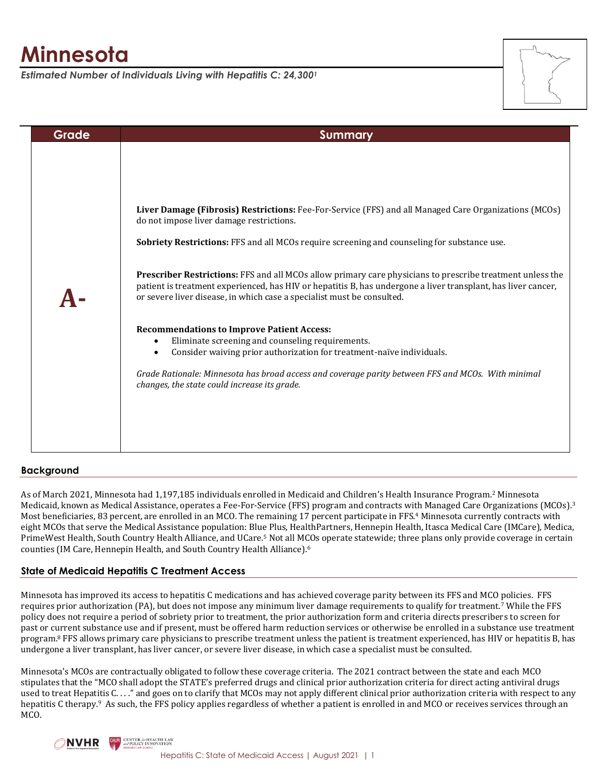# **Minnesota**

*Estimated Number of Individuals Living with Hepatitis C: 24,300<sup>1</sup>*



| Grade | <b>Summary</b>                                                                                                                                                                                                                                                                                                                                                                                                                                                                                                                                                                                                                                                                                                                                          |
|-------|---------------------------------------------------------------------------------------------------------------------------------------------------------------------------------------------------------------------------------------------------------------------------------------------------------------------------------------------------------------------------------------------------------------------------------------------------------------------------------------------------------------------------------------------------------------------------------------------------------------------------------------------------------------------------------------------------------------------------------------------------------|
|       | Liver Damage (Fibrosis) Restrictions: Fee-For-Service (FFS) and all Managed Care Organizations (MCOs)<br>do not impose liver damage restrictions.<br>Sobriety Restrictions: FFS and all MCOs require screening and counseling for substance use.<br>Prescriber Restrictions: FFS and all MCOs allow primary care physicians to prescribe treatment unless the<br>patient is treatment experienced, has HIV or hepatitis B, has undergone a liver transplant, has liver cancer,<br>or severe liver disease, in which case a specialist must be consulted.<br><b>Recommendations to Improve Patient Access:</b><br>Eliminate screening and counseling requirements.<br>$\bullet$<br>Consider waiving prior authorization for treatment-naïve individuals. |
|       | Grade Rationale: Minnesota has broad access and coverage parity between FFS and MCOs. With minimal<br>changes, the state could increase its grade.                                                                                                                                                                                                                                                                                                                                                                                                                                                                                                                                                                                                      |

# **Background**

As of March 2021, Minnesota had 1,197,185 individuals enrolled in Medicaid and Children's Health Insurance Program.<sup>2</sup> Minnesota Medicaid, known as Medical Assistance, operates a Fee-For-Service (FFS) program and contracts with Managed Care Organizations (MCOs).<sup>3</sup> Most beneficiaries, 83 percent, are enrolled in an MCO. The remaining 17 percent participate in FFS.<sup>4</sup> Minnesota currently contracts with eight MCOs that serve the Medical Assistance population: Blue Plus, HealthPartners, Hennepin Health, Itasca Medical Care (IMCare), Medica, PrimeWest Health, South Country Health Alliance, and UCare.<sup>5</sup> Not all MCOs operate statewide; three plans only provide coverage in certain counties (IM Care, Hennepin Health, and South Country Health Alliance).<sup>6</sup>

# **State of Medicaid Hepatitis C Treatment Access**

Minnesota has improved its access to hepatitis C medications and has achieved coverage parity between its FFS and MCO policies. FFS requires prior authorization (PA), but does not impose any minimum liver damage requirements to qualify for treatment.<sup>7</sup> While the FFS policy does not require a period of sobriety prior to treatment, the prior authorization form and criteria directs prescribers to screen for past or current substance use and if present, must be offered harm reduction services or otherwise be enrolled in a substance use treatment program.<sup>8</sup> FFS allows primary care physicians to prescribe treatment unless the patient is treatment experienced, has HIV or hepatitis B, has undergone a liver transplant, has liver cancer, or severe liver disease, in which case a specialist must be consulted.

Minnesota's MCOs are contractually obligated to follow these coverage criteria. The 2021 contract between the state and each MCO stipulates that the "MCO shall adopt the STATE's preferred drugs and clinical prior authorization criteria for direct acting antiviral drugs used to treat Hepatitis C. . . ." and goes on to clarify that MCOs may not apply different clinical prior authorization criteria with respect to any hepatitis C therapy.<sup>9</sup> As such, the FFS policy applies regardless of whether a patient is enrolled in and MCO or receives services through an MCO.